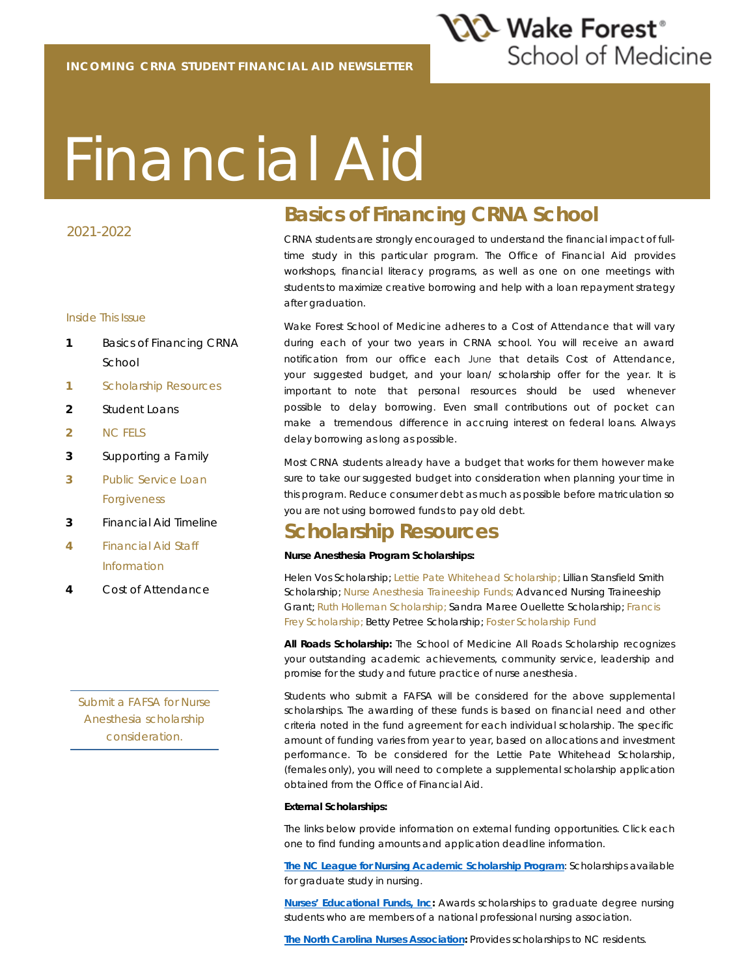

# Financial Aid

#### 2021-2022

#### Inside This Issue

- **1** Basics of Financing CRNA School
- **1** Scholarship Resources
- **2** Student Loans
- **2** NC FELS
- **3** Supporting a Family
- **3** Public Service Loan Forgiveness
- **3** Financial Aid Timeline
- **4** Financial Aid Staff Information
- **4** Cost of Attendance

*Submit a FAFSA for Nurse Anesthesia scholarship consideration.*

## **Basics of Financing CRNA School**

CRNA students are strongly encouraged to understand the financial impact of fulltime study in this particular program. The Office of Financial Aid provides workshops, financial literacy programs, as well as one on one meetings with students to maximize creative borrowing and help with a loan repayment strategy after graduation.

Wake Forest School of Medicine adheres to a Cost of Attendance that will vary during each of your two years in CRNA school. You will receive an award notification from our office each June that details Cost of Attendance, your suggested budget, and your loan/ scholarship offer for the year. It is important to note that personal resources should be used whenever possible to delay borrowing. Even small contributions out of pocket can make a tremendous difference in accruing interest on federal loans. Always delay borrowing as long as possible.

Most CRNA students already have a budget that works for them however make sure to take our suggested budget into consideration when planning your time in this program. Reduce consumer debt as much as possible before matriculation so you are not using borrowed funds to pay old debt.

#### **Scholarship Resources**

#### **Nurse Anesthesia Program Scholarships:**

Helen Vos Scholarship; Lettie Pate Whitehead Scholarship; Lillian Stansfield Smith Scholarship; Nurse Anesthesia Traineeship Funds; Advanced Nursing Traineeship Grant; Ruth Holleman Scholarship; Sandra Maree Ouellette Scholarship; Francis Frey Scholarship; Betty Petree Scholarship; Foster Scholarship Fund

**All Roads Scholarship:** The School of Medicine All Roads Scholarship recognizes your outstanding academic achievements, community service, leadership and promise for the study and future practice of nurse anesthesia.

Students who submit a FAFSA will be considered for the above supplemental scholarships. The awarding of these funds is based on financial need and other criteria noted in the fund agreement for each individual scholarship. The specific amount of funding varies from year to year, based on allocations and investment performance. To be considered for the Lettie Pate Whitehead Scholarship, (females only), you will need to complete a supplemental scholarship application obtained from the Office of Financial Aid.

#### **External Scholarships:**

The links below provide information on external funding opportunities. Click each one to find funding amounts and application deadline information.

**The NC League for Nursing Academic Scholarship Program**: Scholarships available for graduate study in nursing.

**Nurses' Educational Funds, Inc:** Awards scholarships to graduate degree nursing students who are members of a national professional nursing association.

**The North Carolina Nurses Association:** Provides scholarships to NC residents.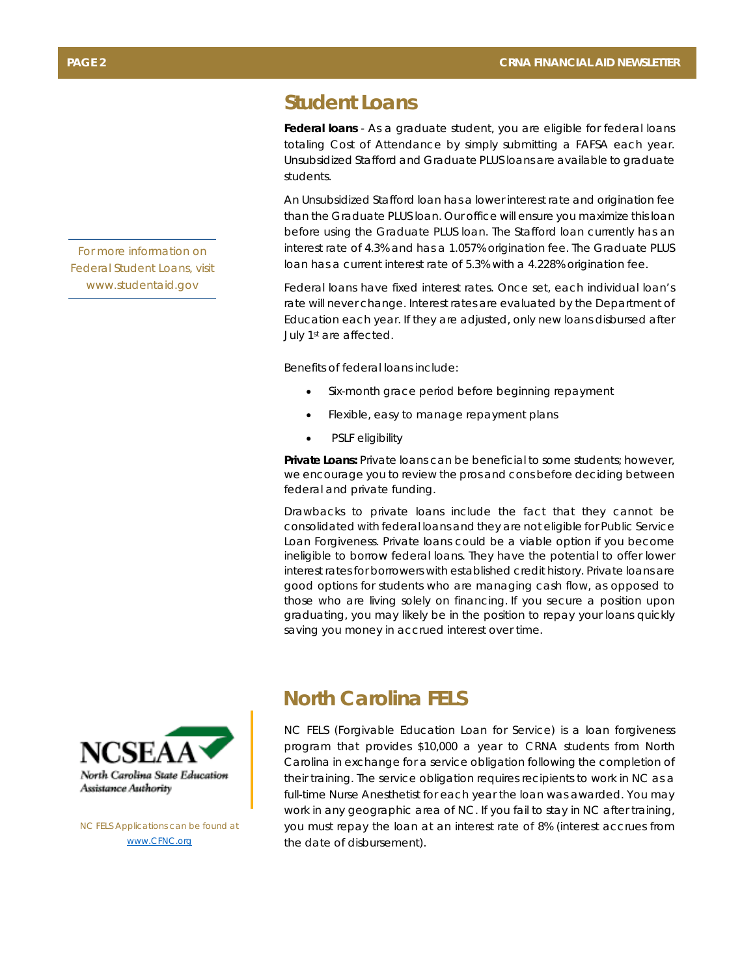#### **Student Loans**

**Federal loans** - As a graduate student, you are eligible for federal loans totaling Cost of Attendance by simply submitting a FAFSA each year. Unsubsidized Stafford and Graduate PLUS loans are available to graduate students.

An Unsubsidized Stafford loan has a lower interest rate and origination fee than the Graduate PLUS loan. Our office will ensure you maximize this loan before using the Graduate PLUS loan. The Stafford loan currently has an interest rate of 4.3% and has a 1.057% origination fee. The Graduate PLUS loan has a current interest rate of 5.3% with a 4.228% origination fee.

Federal loans have fixed interest rates. Once set, each individual loan's rate will never change. Interest rates are evaluated by the Department of Education each year. If they are adjusted, only new loans disbursed after July 1st are affected.

Benefits of federal loans include:

- Six-month grace period before beginning repayment
- Flexible, easy to manage repayment plans
- PSLF eligibility

**Private Loans:** Private loans can be beneficial to some students; however, we encourage you to review the pros and cons before deciding between federal and private funding.

Drawbacks to private loans include the fact that they cannot be consolidated with federal loans and they are not eligible for Public Service Loan Forgiveness. Private loans could be a viable option if you become ineligible to borrow federal loans. They have the potential to offer lower interest rates for borrowers with established credit history. Private loans are good options for students who are managing cash flow, as opposed to those who are living solely on financing. If you secure a position upon graduating, you may likely be in the position to repay your loans quickly saving you money in accrued interest over time.

#### **North Carolina FELS**

NC FELS (Forgivable Education Loan for Service) is a loan forgiveness program that provides \$10,000 a year to CRNA students from North Carolina in exchange for a service obligation following the completion of their training. The service obligation requires recipients to work in NC as a full-time Nurse Anesthetist for each year the loan was awarded. You may work in any geographic area of NC. If you fail to stay in NC after training, you must repay the loan at an interest rate of 8% (interest accrues from the date of disbursement).





*NC FELS Applications can be found at www.CFNC.org*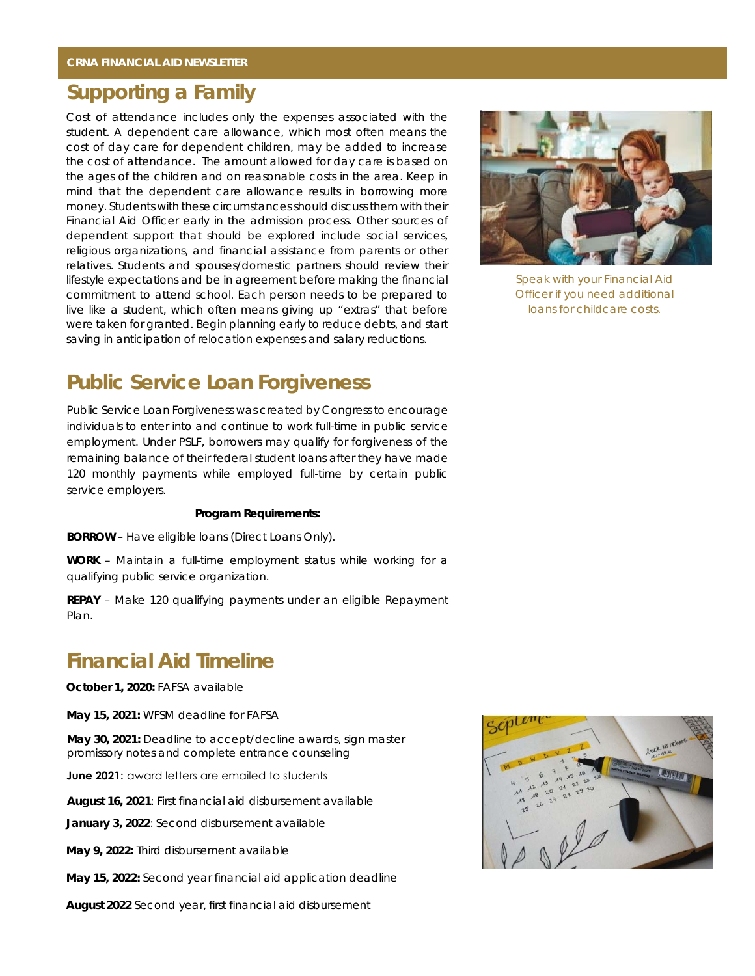#### **Supporting a Family**

Cost of attendance includes only the expenses associated with the student. A dependent care allowance, which most often means the cost of day care for dependent children, may be added to increase the cost of attendance. The amount allowed for day care is based on the ages of the children and on reasonable costs in the area. Keep in mind that the dependent care allowance results in borrowing more money. Students with these circumstances should discuss them with their Financial Aid Officer early in the admission process. Other sources of dependent support that should be explored include social services, religious organizations, and financial assistance from parents or other relatives. Students and spouses/domestic partners should review their lifestyle expectations and be in agreement before making the financial commitment to attend school. Each person needs to be prepared to live like a student, which often means giving up "extras" that before were taken for granted. Begin planning early to reduce debts, and start saving in anticipation of relocation expenses and salary reductions.



*Speak with your Financial Aid Officer if you need additional loans for childcare costs.* 

#### **Public Service Loan Forgiveness**

Public Service Loan Forgiveness was created by Congress to encourage individuals to enter into and continue to work full-time in public service employment. Under PSLF, borrowers may qualify for forgiveness of the remaining balance of their federal student loans after they have made 120 monthly payments while employed full-time by certain public service employers.

#### **Program Requirements:**

**BORROW** – Have eligible loans (Direct Loans Only).

**WORK** – Maintain a full-time employment status while working for a qualifying public service organization.

**REPAY** – Make 120 qualifying payments under an eligible Repayment Plan.

#### **Financial Aid Timeline**

**October 1, 2020:** FAFSA available

**May 15, 2021:** WFSM deadline for FAFSA

**May 30, 2021:** Deadline to accept/decline awards, sign master promissory notes and complete entrance counseling

**June 2021**: award letters are emailed to students

**August 16, 2021**: First financial aid disbursement available

**January 3, 2022**: Second disbursement available

**May 9, 2022:** Third disbursement available

**May 15, 2022:** Second year financial aid application deadline

**August 2022** Second year, first financial aid disbursement